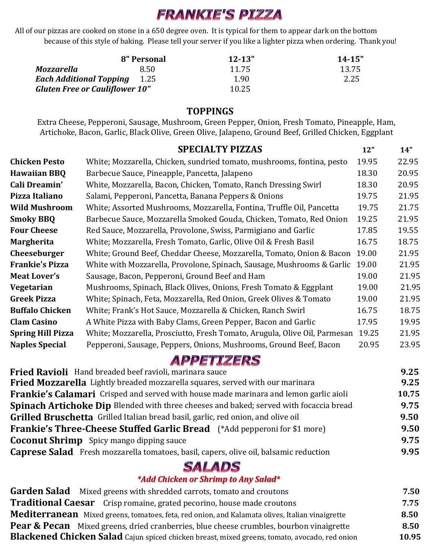# **FRANKIE'S PIZZA**

All of our pizzas are cooked on stone in a 650 degree oven. It is typical for them to appear dark on the bottom because of this style of baking. Please tell your server if you like a lighter pizza when ordering. Thank you!

|                                       | 8" Personal | $12 - 13"$ | $14 - 15"$ |
|---------------------------------------|-------------|------------|------------|
| Mozzarella                            | 8.50        | 11.75      | 13.75      |
| <b>Each Additional Topping</b> 1.25   |             | 1.90       | 2.25       |
| <b>Gluten Free or Cauliflower 10"</b> |             | 10.25      |            |

#### **TOPPINGS**

Extra Cheese, Pepperoni, Sausage, Mushroom, Green Pepper, Onion, Fresh Tomato, Pineapple, Ham, Artichoke, Bacon, Garlic, Black Olive, Green Olive, Jalapeno, Ground Beef, Grilled Chicken, Eggplant

|                          | <b>SPECIALTY PIZZAS</b>                                                   | 12"   | 14"   |
|--------------------------|---------------------------------------------------------------------------|-------|-------|
| <b>Chicken Pesto</b>     | White; Mozzarella, Chicken, sundried tomato, mushrooms, fontina, pesto    | 19.95 | 22.95 |
| <b>Hawaiian BBQ</b>      | Barbecue Sauce, Pineapple, Pancetta, Jalapeno                             | 18.30 | 20.95 |
| Cali Dreamin'            | White, Mozzarella, Bacon, Chicken, Tomato, Ranch Dressing Swirl           | 18.30 | 20.95 |
| Pizza Italiano           | Salami, Pepperoni, Pancetta, Banana Peppers & Onions                      | 19.75 | 21.95 |
| <b>Wild Mushroom</b>     | White; Assorted Mushrooms, Mozzarella, Fontina, Truffle Oil, Pancetta     | 19.75 | 21.75 |
| <b>Smoky BBQ</b>         | Barbecue Sauce, Mozzarella Smoked Gouda, Chicken, Tomato, Red Onion       | 19.25 | 21.95 |
| <b>Four Cheese</b>       | Red Sauce, Mozzarella, Provolone, Swiss, Parmigiano and Garlic            | 17.85 | 19.55 |
| <b>Margherita</b>        | White; Mozzarella, Fresh Tomato, Garlic, Olive Oil & Fresh Basil          | 16.75 | 18.75 |
| <b>Cheeseburger</b>      | White; Ground Beef, Cheddar Cheese, Mozzarella, Tomato, Onion & Bacon     | 19.00 | 21.95 |
| <b>Frankie's Pizza</b>   | White with Mozzarella, Provolone, Spinach, Sausage, Mushrooms & Garlic    | 19.00 | 21.95 |
| <b>Meat Lover's</b>      | Sausage, Bacon, Pepperoni, Ground Beef and Ham                            | 19.00 | 21.95 |
| Vegetarian               | Mushrooms, Spinach, Black Olives, Onions, Fresh Tomato & Eggplant         | 19.00 | 21.95 |
| <b>Greek Pizza</b>       | White; Spinach, Feta, Mozzarella, Red Onion, Greek Olives & Tomato        | 19.00 | 21.95 |
| <b>Buffalo Chicken</b>   | White; Frank's Hot Sauce, Mozzarella & Chicken, Ranch Swirl               | 16.75 | 18.75 |
| <b>Clam Casino</b>       | A White Pizza with Baby Clams, Green Pepper, Bacon and Garlic             | 17.95 | 19.95 |
| <b>Spring Hill Pizza</b> | White; Mozzarella, Prosciutto, Fresh Tomato, Arugula, Olive Oil, Parmesan | 19.25 | 21.95 |
| <b>Naples Special</b>    | Pepperoni, Sausage, Peppers, Onions, Mushrooms, Ground Beef, Bacon        | 20.95 | 23.95 |
|                          |                                                                           |       |       |

**APPETIZERS** 

| <b>Fried Mozzarella</b> Lightly breaded mozzarella squares, served with our marinara<br>9.25<br>10.75                                           |  |
|-------------------------------------------------------------------------------------------------------------------------------------------------|--|
|                                                                                                                                                 |  |
| Frankie's Calamari Crisped and served with house made marinara and lemon garlic aioli                                                           |  |
| <b>Spinach Artichoke Dip</b> Blended with three cheeses and baked; served with focaccia bread<br>9.75                                           |  |
| <b>Grilled Bruschetta</b> Grilled Italian bread basil, garlic, red onion, and olive oil<br>9.50                                                 |  |
| <b>Frankie's Three-Cheese Stuffed Garlic Bread</b> (*Add pepperoni for \$1 more)<br>9.50                                                        |  |
| <b>Coconut Shrimp</b> Spicy mango dipping sauce<br><b>Caprese Salad</b> Fresh mozzarella tomatoes, basil, capers, olive oil, balsamic reduction |  |

## **SALADS**

#### *\*Add Chicken or Shrimp to Any Salad\**

| <b>Garden Salad</b> Mixed greens with shredded carrots, tomato and croutons                        |       |
|----------------------------------------------------------------------------------------------------|-------|
| <b>Traditional Caesar</b> Crisp romaine, grated pecorino, house made croutons                      | 7.75  |
| Mediterranean Mixed greens, tomatoes, feta, red onion, and Kalamata olives, Italian vinaigrette    | 8.50  |
| <b>Pear &amp; Pecan</b> Mixed greens, dried cranberries, blue cheese crumbles, bourbon vinaigrette | 8.50  |
| Blackened Chicken Salad Cajun spiced chicken breast, mixed greens, tomato, avocado, red onion      | 10.95 |